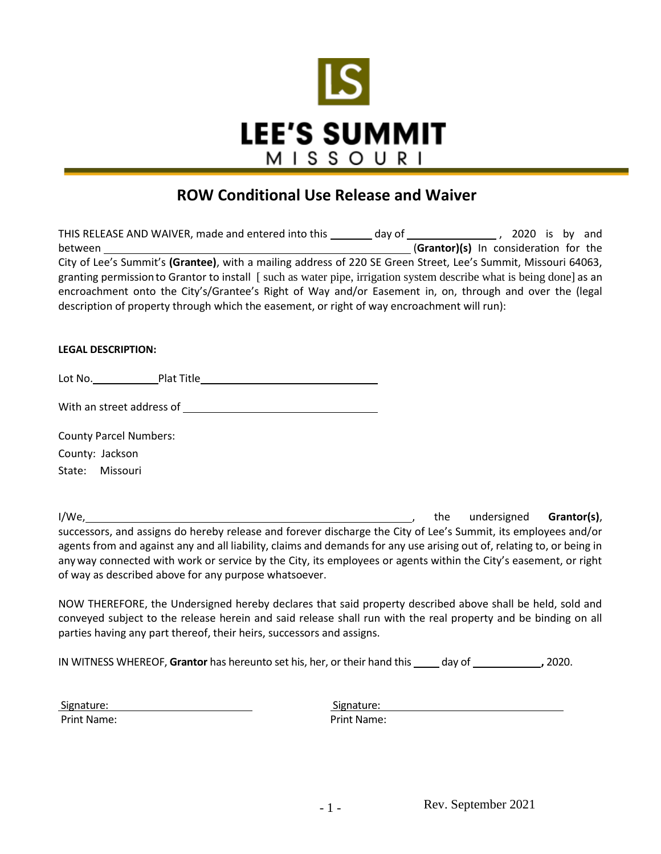

# **ROW Conditional Use Release and Waiver**

| THIS RELEASE AND WAIVER, made and entered into this                                                                 | day of | 2020 is by and                        |
|---------------------------------------------------------------------------------------------------------------------|--------|---------------------------------------|
| between                                                                                                             |        | (Grantor)(s) In consideration for the |
| City of Lee's Summit's (Grantee), with a mailing address of 220 SE Green Street, Lee's Summit, Missouri 64063,      |        |                                       |
| granting permission to Grantor to install [such as water pipe, irrigation system describe what is being done] as an |        |                                       |
| encroachment onto the City's/Grantee's Right of Way and/or Easement in, on, through and over the (legal             |        |                                       |
| description of property through which the easement, or right of way encroachment will run):                         |        |                                       |

### **LEGAL DESCRIPTION:**

Lot No. Plat Title

With an street address of

County Parcel Numbers:

County: Jackson

State: Missouri

I/We, the undersigned **Grantor(s)**, the undersigned **Grantor(s)**, the undersigned **Grantor(s)**, successors, and assigns do hereby release and forever discharge the City of Lee's Summit, its employees and/or agents from and against any and all liability, claims and demands for any use arising out of, relating to, or being in anyway connected with work or service by the City, its employees or agents within the City's easement, or right of way as described above for any purpose whatsoever.

NOW THEREFORE, the Undersigned hereby declares that said property described above shall be held, sold and conveyed subject to the release herein and said release shall run with the real property and be binding on all parties having any part thereof, their heirs, successors and assigns.

IN WITNESS WHEREOF, Grantor has hereunto set his, her, or their hand this \_\_\_\_\_ day of \_\_\_\_\_\_\_\_\_\_\_\_\_, 2020.

| Signature:  | Signature:         |
|-------------|--------------------|
| Print Name: | <b>Print Name:</b> |

| Signature: |  |
|------------|--|
| rint Name: |  |